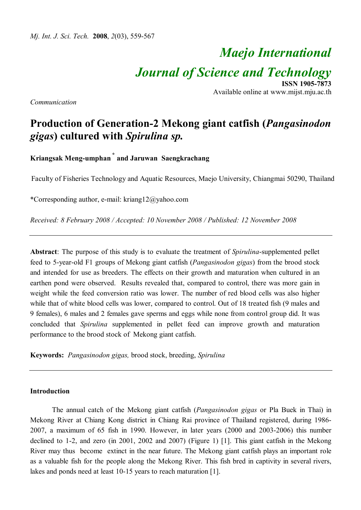# *Maejo International Journal of Science and Technology* **ISSN 1905-7873**

Available online at www.mijst.mju.ac.th

*Communication*

# **Production of Generation-2 Mekong giant catfish (***Pangasinodon gigas***) cultured with** *Spirulina sp.*

**Kriangsak Meng-umphan \* and Jaruwan Saengkrachang**

Faculty of Fisheries Technology and Aquatic Resources, Maejo University, Chiangmai 50290, Thailand

\*Corresponding author, e-mail: kriang12@yahoo.com

*Received: 8 February 2008 / Accepted: 10 November 2008 / Published: 12 November 2008*

**Abstract**: The purpose of this study is to evaluate the treatment of *Spirulina*-supplemented pellet feed to 5-year-old F1 groups of Mekong giant catfish (*Pangasinodon gigas*) from the brood stock and intended for use as breeders. The effects on their growth and maturation when cultured in an earthen pond were observed. Results revealed that, compared to control, there was more gain in weight while the feed conversion ratio was lower. The number of red blood cells was also higher while that of white blood cells was lower, compared to control. Out of 18 treated fish (9 males and 9 females), 6 males and 2 females gave sperms and eggs while none from control group did. It was concluded that *Spirulina* supplemented in pellet feed can improve growth and maturation performance to the brood stock of Mekong giant catfish.

**Keywords:** *Pangasinodon gigas,* brood stock, breeding, *Spirulina* 

## **Introduction**

The annual catch of the Mekong giant catfish (*Pangasinodon gigas* or Pla Buek in Thai) in Mekong River at Chiang Kong district in Chiang Rai province of Thailand registered, during 1986- 2007, a maximum of 65 fish in 1990. However, in later years (2000 and 2003-2006) this number declined to 1-2, and zero (in 2001, 2002 and 2007) (Figure 1) [1]. This giant catfish in the Mekong River may thus become extinct in the near future. The Mekong giant catfish plays an important role as a valuable fish for the people along the Mekong River. This fish bred in captivity in several rivers, lakes and ponds need at least 10-15 years to reach maturation [1].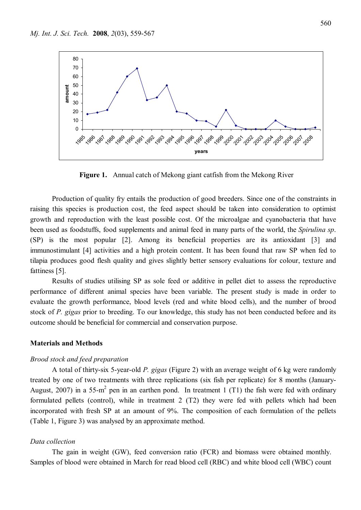

**Figure 1.** Annual catch of Mekong giant catfish from the Mekong River

Production of quality fry entails the production of good breeders. Since one of the constraints in raising this species is production cost, the feed aspect should be taken into consideration to optimist growth and reproduction with the least possible cost. Of the microalgae and cyanobacteria that have been used as foodstuffs, food supplements and animal feed in many parts of the world, the *Spirulina sp*. (SP) is the most popular [2]. Among its beneficial properties are its antioxidant [3] and immunostimulant [4] activities and a high protein content. It has been found that raw SP when fed to tilapia produces good flesh quality and gives slightly better sensory evaluations for colour, texture and fattiness [5].

Results of studies utilising SP as sole feed or additive in pellet diet to assess the reproductive performance of different animal species have been variable. The present study is made in order to evaluate the growth performance, blood levels (red and white blood cells), and the number of brood stock of *P. gigas* prior to breeding. To our knowledge, this study has not been conducted before and its outcome should be beneficial for commercial and conservation purpose.

# **Materials and Methods**

### *Brood stock and feed preparation*

A total of thirty-six 5-year-old *P. gigas* (Figure 2) with an average weight of 6 kg were randomly treated by one of two treatments with three replications (six fish per replicate) for 8 months (January-August, 2007) in a 55-m<sup>2</sup> pen in an earthen pond. In treatment 1 (T1) the fish were fed with ordinary formulated pellets (control), while in treatment 2 (T2) they were fed with pellets which had been incorporated with fresh SP at an amount of 9%. The composition of each formulation of the pellets (Table 1, Figure 3) was analysed by an approximate method.

# *Data collection*

The gain in weight (GW), feed conversion ratio (FCR) and biomass were obtained monthly. Samples of blood were obtained in March for read blood cell (RBC) and white blood cell (WBC) count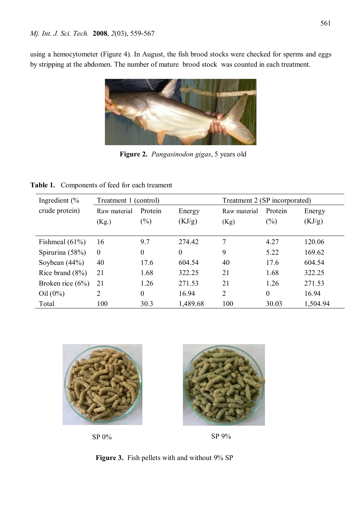using a hemocytometer (Figure 4). In August, the fish brood stocks were checked for sperms and eggs by stripping at the abdomen. The number of mature brood stock was counted in each treatment.



**Figure 2.** *Pangasinodon gigas*, 5 years old

**Table 1.** Components of feed for each treament

| Ingredient $\frac{6}{6}$ | Treatment 1 (control) |                |          | Treatment 2 (SP incorporated) |          |          |
|--------------------------|-----------------------|----------------|----------|-------------------------------|----------|----------|
| crude protein)           | Raw material          | Protein        | Energy   | Raw material                  | Protein  | Energy   |
|                          | (Kg.)                 | $(\%)$         | (KJ/g)   | (Kg)                          | (%)      | (KJ/g)   |
|                          |                       |                |          |                               |          |          |
| Fishmeal $(61\%)$        | 16                    | 9.7            | 274.42   | 7                             | 4.27     | 120.06   |
| Spirurina $(58%)$        | $\theta$              | $\theta$       | $\theta$ | 9                             | 5.22     | 169.62   |
| Soybean $(44%)$          | 40                    | 17.6           | 604.54   | 40                            | 17.6     | 604.54   |
| Rice brand $(8\%)$       | 21                    | 1.68           | 322.25   | 21                            | 1.68     | 322.25   |
| Broken rice $(6\%)$      | 21                    | 1.26           | 271.53   | 21                            | 1.26     | 271.53   |
| $Oil (0\%)$              | 2                     | $\overline{0}$ | 16.94    | $\overline{2}$                | $\theta$ | 16.94    |
| Total                    | 100                   | 30.3           | 1,489.68 | 100                           | 30.03    | 1,504.94 |



SP 0%

SP 9%

**Figure 3.** Fish pellets with and without 9% SP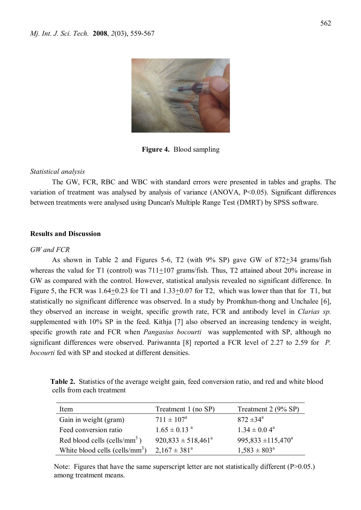

**Figure 4.** Blood sampling

# *Statistical analysis*

The GW, FCR, RBC and WBC with standard errors were presented in tables and graphs. The variation of treatment was analysed by analysis of variance  $(ANOVA, P<0.05)$ . Significant differences between treatments were analysed using Duncan's Multiple Range Test (DMRT) by SPSS software.

# **Results and Discussion**

# *GW and FCR*

As shown in Table 2 and Figures 5-6, T2 (with  $9\%$  SP) gave GW of  $872\pm34$  grams/fish whereas the valud for T1 (control) was  $711+107$  grams/fish. Thus, T2 attained about 20% increase in GW as compared with the control. However, statistical analysis revealed no significant difference. In Figure 5, the FCR was 1.64+0.23 for T1 and 1.33+0.07 for T2, which was lower than that for T1, but statistically no significant difference was observed. In a study by Promkhun-thong and Unchalee [6], they observed an increase in weight, specific growth rate, FCR and antibody level in *Clarias sp.* supplemented with 10% SP in the feed. Kithja [7] also observed an increasing tendency in weight, specific growth rate and FCR when *Pangasius bocourti* was supplemented with SP, although no significant differences were observed. Pariwannta [8] reported a FCR level of 2.27 to 2.59 for *P. bocourti* fed with SP and stocked at different densities.

| Table 2. Statistics of the average weight gain, feed conversion ratio, and red and white blood |  |  |
|------------------------------------------------------------------------------------------------|--|--|
| cells from each treatment                                                                      |  |  |

| Item                              | Treatment 1 (no SP)           | Treatment 2 (9% SP)           |
|-----------------------------------|-------------------------------|-------------------------------|
| Gain in weight (gram)             | $711 \pm 107^{\circ}$         | $872 \pm 34^{\circ}$          |
| Feed conversion ratio             | $1.65 \pm 0.13$ <sup>a</sup>  | $1.34 \pm 0.04^a$             |
| Red blood cells (cells/ $mm3$ )   | $920,833 \pm 518,461^{\circ}$ | $995,833 \pm 115,470^{\circ}$ |
| White blood cells (cells/ $mm3$ ) | $2.167 \pm 381^{\circ}$       | $1,583 \pm 803^{\circ}$       |

Note: Figures that have the same superscript letter are not statistically different (P>0.05.) among treatment means.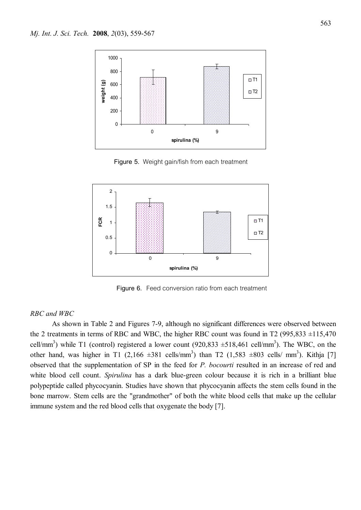

**Figure 5.** Weight gain/fish from each treatment

![](_page_4_Figure_3.jpeg)

**Figure 6.** Feed conversion ratio from each treatment

#### *RBC and WBC*

As shown in Table 2 and Figures 7-9, although no significant differences were observed between the 2 treatments in terms of RBC and WBC, the higher RBC count was found in T2 (995,833  $\pm$ 115,470 cell/mm<sup>3</sup>) while T1 (control) registered a lower count  $(920,833 \pm 518,461 \text{ cell/mm}^3)$ . The WBC, on the other hand, was higher in T1  $(2,166 \pm 381 \text{ cells/mm}^3)$  than T2  $(1,583 \pm 803 \text{ cells/mm}^3)$ . Kithja [7] observed that the supplementation of SP in the feed for *P. bocourti* resulted in an increase of red and white blood cell count. *Spirulina* has a dark blue-green colour because it is rich in a brilliant blue polypeptide called phycocyanin. Studies have shown that phycocyanin affects the stem cells found in the bone marrow. Stem cells are the "grandmother" of both the white blood cells that make up the cellular immune system and the red blood cells that oxygenate the body [7].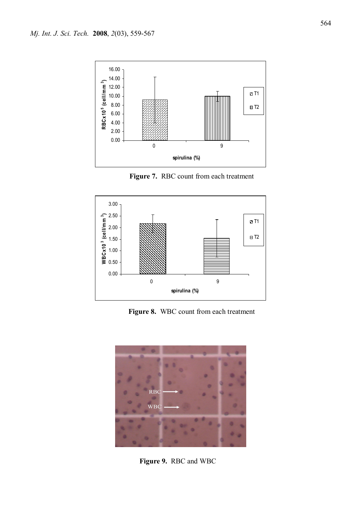![](_page_5_Figure_1.jpeg)

![](_page_5_Figure_3.jpeg)

**Figure 8.** WBC count from each treatment

![](_page_5_Picture_5.jpeg)

 **Figure 9.** RBC and WBC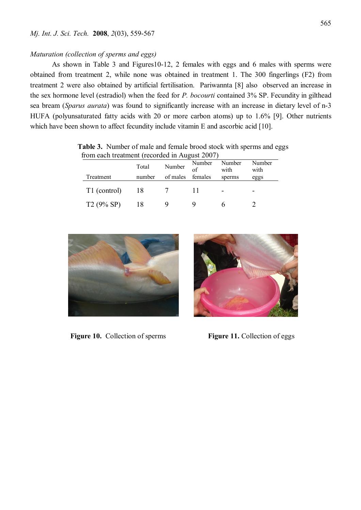#### *Maturation (collection of sperms and eggs)*

As shown in Table 3 and Figures10-12, 2 females with eggs and 6 males with sperms were obtained from treatment 2, while none was obtained in treatment 1. The 300 fingerlings (F2) from treatment 2 were also obtained by artificial fertilisation. Pariwannta [8] also observed an increase in the sex hormone level (estradiol) when the feed for *P. bocourti* contained 3% SP. Fecundity in gilthead sea bream (*Sparus aurata*) was found to significantly increase with an increase in dietary level of n-3 HUFA (polyunsaturated fatty acids with 20 or more carbon atoms) up to 1.6% [9]. Other nutrients which have been shown to affect fecundity include vitamin E and ascorbic acid [10].

| TOITI Cach treatment (recorded in August 2007) |        |          |         |                |                |  |
|------------------------------------------------|--------|----------|---------|----------------|----------------|--|
|                                                | Total  | Number   | Number  | Number<br>with | Number<br>with |  |
| Treatment                                      | number | of males | females | sperms         | eggs           |  |
| T1 (control)                                   | 18     |          |         |                |                |  |
| $T2(9\% SP)$                                   |        |          |         |                |                |  |

 **Table 3.** Number of male and female brood stock with sperms and eggs from each treatment (recorded in August 2007)

![](_page_6_Picture_5.jpeg)

 **Figure 10.** Collection of sperms **Figure 11.** Collection of eggs

![](_page_6_Picture_7.jpeg)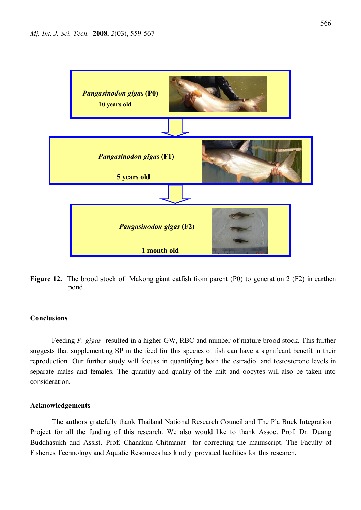![](_page_7_Figure_1.jpeg)

**Figure 12.** The brood stock of Makong giant catfish from parent (P0) to generation 2 (F2) in earthen pond

### **Conclusions**

Feeding *P. gigas* resulted in a higher GW, RBC and number of mature brood stock. This further suggests that supplementing SP in the feed for this species of fish can have a significant benefit in their reproduction. Our further study will focuss in quantifying both the estradiol and testosterone levels in separate males and females. The quantity and quality of the milt and oocytes will also be taken into consideration.

# **Acknowledgements**

The authors gratefully thank Thailand National Research Council and The Pla Buek Integration Project for all the funding of this research. We also would like to thank Assoc. Prof. Dr. Duang Buddhasukh and Assist. Prof. Chanakun Chitmanat for correcting the manuscript. The Faculty of Fisheries Technology and Aquatic Resources has kindly provided facilities for this research.